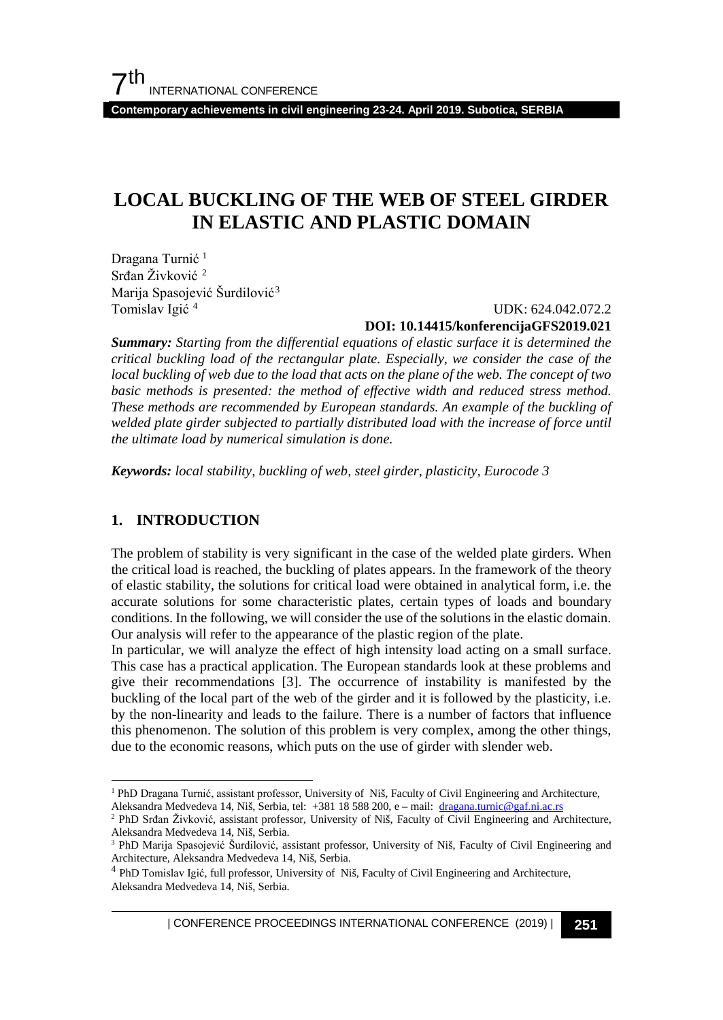**Contemporary achievements in civil engineering 23-24. April 2019. Subotica, SERBIA**

# **LOCAL BUCKLING OF THE WEB OF STEEL GIRDER IN ELASTIC AND PLASTIC DOMAIN**

Dragana Turnić<sup>[1](#page-0-0)</sup> Srđan Živković [2](#page-0-1) Marija Spasojević Šurdilović[3](#page-0-2) Tomislav Igić [4](#page-0-3)

 UDK: 624.042.072.2 **DOI: 10.14415/konferencijaGFS2019.021**

*Summary: Starting from the differential equations of elastic surface it is determined the critical buckling load of the rectangular plate. Especially, we consider the case of the local buckling of web due to the load that acts on the plane of the web. The concept of two basic methods is presented: the method of effective width and reduced stress method. These methods are recommended by European standards. An example of the buckling of welded plate girder subjected to partially distributed load with the increase of force until the ultimate load by numerical simulation is done.*

*Keywords: local stability, buckling of web, steel girder, plasticity, Eurocode 3*

# **1. INTRODUCTION**

The problem of stability is very significant in the case of the welded plate girders. When the critical load is reached, the buckling of plates appears. In the framework of the theory of elastic stability, the solutions for critical load were obtained in analytical form, i.e. the accurate solutions for some characteristic plates, certain types of loads and boundary conditions. In the following, we will consider the use of the solutions in the elastic domain. Our analysis will refer to the appearance of the plastic region of the plate.

In particular, we will analyze the effect of high intensity load acting on a small surface. This case has a practical application. The European standards look at these problems and give their recommendations [3]. The occurrence of instability is manifested by the buckling of the local part of the web of the girder and it is followed by the plasticity, i.e. by the non-linearity and leads to the failure. There is a number of factors that influence this phenomenon. The solution of this problem is very complex, among the other things, due to the economic reasons, which puts on the use of girder with slender web.

<span id="page-0-0"></span><sup>&</sup>lt;sup>1</sup> PhD Dragana Turnić, assistant professor, University of Niš, Faculty of Civil Engineering and Architecture, Aleksandra Medvedeva 14, Niš, Serbia, tel: +381 18 588 200, e – mail: [dragana.turnic@gaf.ni.ac.rs](mailto:dragana.turnic@gaf.ni.ac.rs)

<span id="page-0-1"></span><sup>&</sup>lt;sup>2</sup> PhD Srđan Živković, assistant professor, University of Niš, Faculty of Civil Engineering and Architecture, Aleksandra Medvedeva 14, Niš, Serbia.

<span id="page-0-2"></span><sup>3</sup> PhD Marija Spasojević Šurdilović, assistant professor, University of Niš, Faculty of Civil Engineering and Architecture, Aleksandra Medvedeva 14, Niš, Serbia.

<span id="page-0-3"></span><sup>&</sup>lt;sup>4</sup> PhD Tomislav Igić, full professor, University of Niš, Faculty of Civil Engineering and Architecture, Aleksandra Medvedeva 14, Niš, Serbia.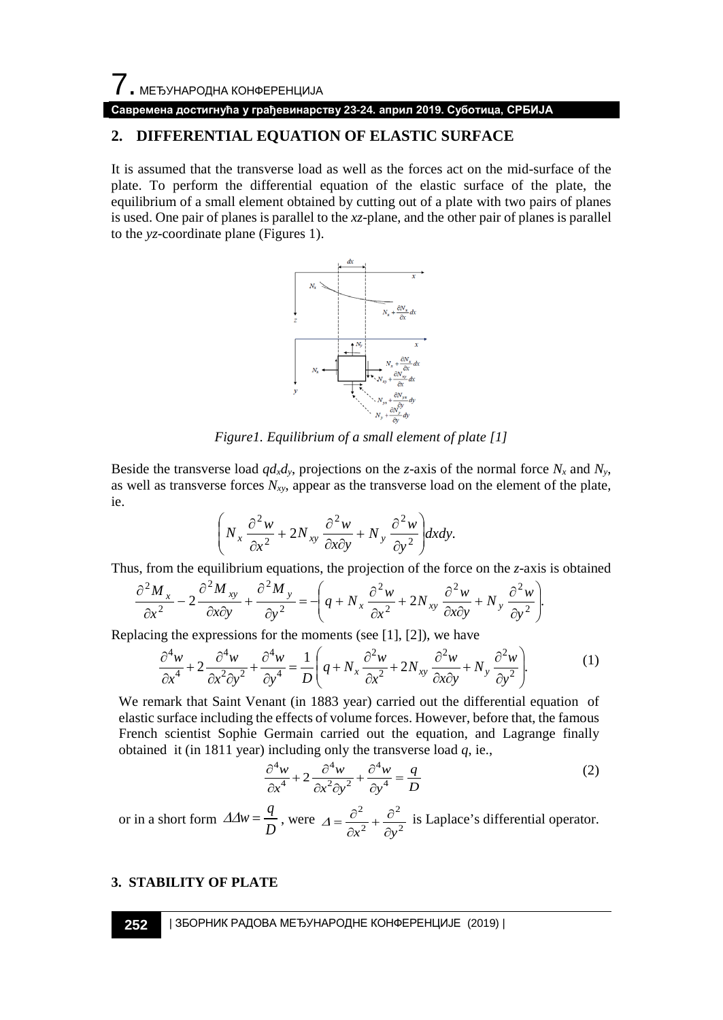7. МЕЂУНАРОДНА КОНФЕРЕНЦИЈА

**Савремена достигнућа у грађевинарству 23-24. април 2019. Суботица, СРБИЈА**

# **2. DIFFERENTIAL EQUATION OF ELASTIC SURFACE**

It is assumed that the transverse load as well as the forces act on the mid-surface of the plate. To perform the differential equation of the elastic surface of the plate, the equilibrium of a small element obtained by cutting out of a plate with two pairs of planes is used. One pair of planes is parallel to the *xz*-plane, and the other pair of planes is parallel to the *yz*-coordinate plane (Figures 1).



*Figure1. Equilibrium of a small element of plate [1]*

Beside the transverse load  $qd_xd_y$ , projections on the *z*-axis of the normal force  $N_x$  and  $N_y$ , as well as transverse forces  $N_{xy}$ , appear as the transverse load on the element of the plate, ie.

$$
\left(N_x\frac{\partial^2 w}{\partial x^2} + 2N_{xy}\frac{\partial^2 w}{\partial x \partial y} + N_y\frac{\partial^2 w}{\partial y^2}\right) dxdy.
$$

Thus, from the equilibrium equations, the projection of the force on the *z*-axis is obtained

$$
\frac{\partial^2 M_x}{\partial x^2} - 2 \frac{\partial^2 M_{xy}}{\partial x \partial y} + \frac{\partial^2 M_y}{\partial y^2} = \left( q + N_x \frac{\partial^2 w}{\partial x^2} + 2N_{xy} \frac{\partial^2 w}{\partial x \partial y} + N_y \frac{\partial^2 w}{\partial y^2} \right).
$$

Replacing the expressions for the moments (see [1], [2]), we have

$$
\frac{\partial^4 w}{\partial x^4} + 2 \frac{\partial^4 w}{\partial x^2 \partial y^2} + \frac{\partial^4 w}{\partial y^4} = \frac{1}{D} \left( q + N_x \frac{\partial^2 w}{\partial x^2} + 2N_{xy} \frac{\partial^2 w}{\partial x \partial y} + N_y \frac{\partial^2 w}{\partial y^2} \right).
$$
 (1)

We remark that Saint Venant (in 1883 year) carried out the differential equation of elastic surface including the effects of volume forces. However, before that, the famous French scientist Sophie Germain carried out the equation, and Lagrange finally obtained it (in 1811 year) including only the transverse load *q*, ie.,

$$
\frac{\partial^4 w}{\partial x^4} + 2 \frac{\partial^4 w}{\partial x^2 \partial y^2} + \frac{\partial^4 w}{\partial y^4} = \frac{q}{D}
$$
 (2)

or in a short form  $\Delta \Delta w = \frac{q}{D}$ , were  $\Delta = \frac{\partial^2}{\partial x^2} + \frac{\partial^2}{\partial y^2}$ 2 2 *x*<sup>2</sup> ∂*y*  $\Delta = \frac{\partial^2}{\partial x^2} + \frac{\partial^2}{\partial y^2}$  is Laplace's differential operator.

#### **3. STABILITY OF PLATE**

**252** | ЗБОРНИК РАДОВА МЕЂУНАРОДНЕ КОНФЕРЕНЦИЈЕ (2019) |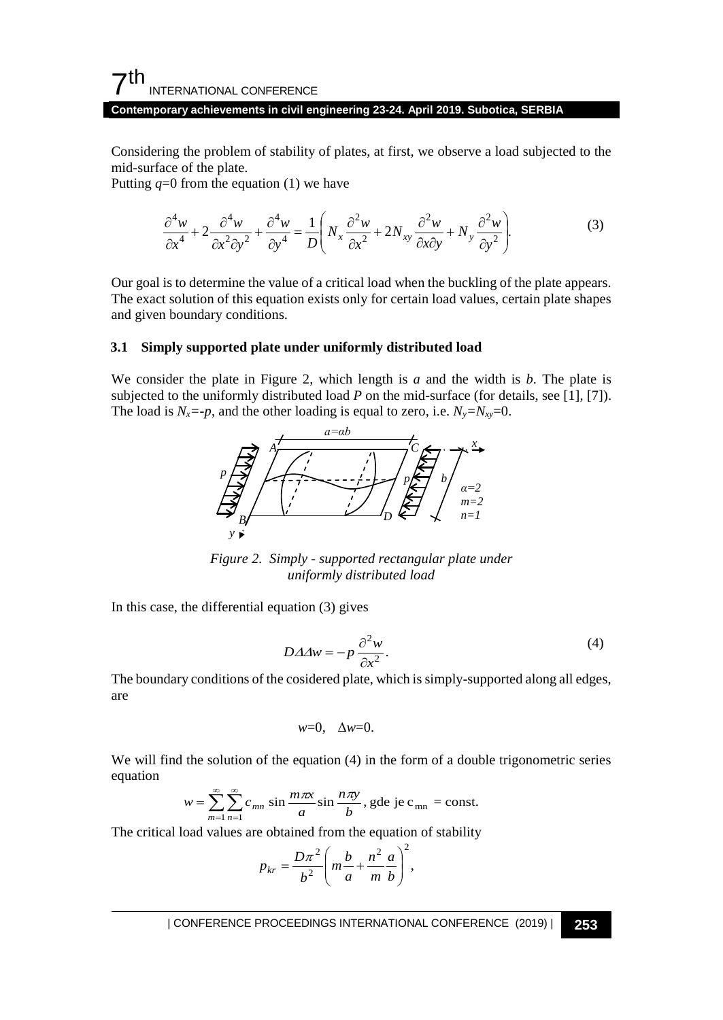# $7<sup>th</sup>$ INTERNATIONAL CONFERENCE

#### **Contemporary achievements in civil engineering 23-24. April 2019. Subotica, SERBIA**

Considering the problem of stability of plates, at first, we observe a load subjected to the mid-surface of the plate.

Putting  $q=0$  from the equation (1) we have

$$
\frac{\partial^4 w}{\partial x^4} + 2 \frac{\partial^4 w}{\partial x^2 \partial y^2} + \frac{\partial^4 w}{\partial y^4} = \frac{1}{D} \left( N_x \frac{\partial^2 w}{\partial x^2} + 2 N_{xy} \frac{\partial^2 w}{\partial x \partial y} + N_y \frac{\partial^2 w}{\partial y^2} \right).
$$
(3)

Our goal is to determine the value of a critical load when the buckling of the plate appears. The exact solution of this equation exists only for certain load values, certain plate shapes and given boundary conditions.

## **3.1 Simply supported plate under uniformly distributed load**

We consider the plate in Figure 2, which length is *a* and the width is *b*. The plate is subjected to the uniformly distributed load *P* on the mid-surface (for details, see [1], [7]). The load is  $N_x = -p$ , and the other loading is equal to zero, i.e.  $N_y = N_{xy} = 0$ .



*Figure 2. Simply - supported rectangular plate under uniformly distributed load* 

In this case, the differential equation (3) gives

$$
D\Delta\Delta w = -p\,\frac{\partial^2 w}{\partial x^2}.\tag{4}
$$

The boundary conditions of the cosidered plate, which is simply-supported along all edges, are

$$
w=0, \quad \Delta w=0.
$$

We will find the solution of the equation (4) in the form of a double trigonometric series equation

$$
w = \sum_{m=1}^{\infty} \sum_{n=1}^{\infty} c_{mn} \sin \frac{m\pi x}{a} \sin \frac{n\pi y}{b},
$$
gde je c<sub>mn</sub> = const.

The critical load values are obtained from the equation of stability

$$
p_{kr} = \frac{D\pi^2}{b^2} \left( m\frac{b}{a} + \frac{n^2}{m} \frac{a}{b} \right)^2,
$$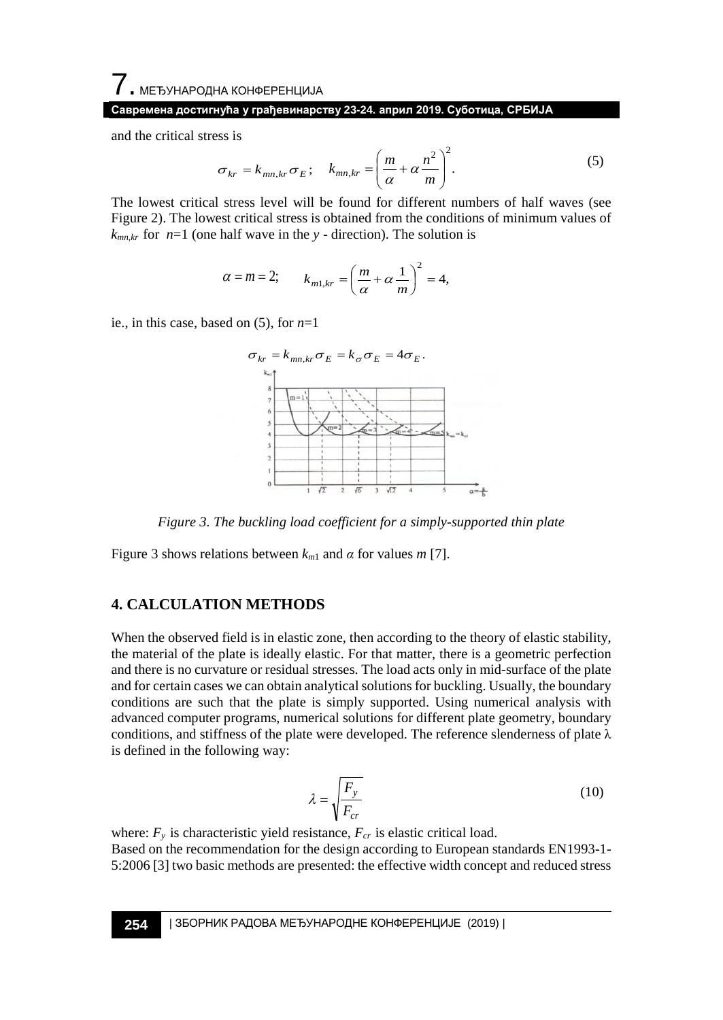#### **Савремена достигнућа у грађевинарству 23-24. април 2019. Суботица, СРБИЈА**

and the critical stress is

$$
\sigma_{kr} = k_{mn,kr} \sigma_E; \quad k_{mn,kr} = \left(\frac{m}{\alpha} + \alpha \frac{n^2}{m}\right)^2.
$$
 (5)

The lowest critical stress level will be found for different numbers of half waves (see Figure 2). The lowest critical stress is obtained from the conditions of minimum values of  $k_{mn,kr}$  for  $n=1$  (one half wave in the *y* - direction). The solution is

$$
\alpha = m = 2;
$$
\n $k_{m1,kr} = \left(\frac{m}{\alpha} + \alpha \frac{1}{m}\right)^2 = 4,$ 

ie., in this case, based on (5), for *n*=1



*Figure 3. The buckling load coefficient for a simply-supported thin plate*

Figure 3 shows relations between  $k_{m1}$  and  $\alpha$  for values  $m$  [7].

## **4. CALCULATION METHODS**

When the observed field is in elastic zone, then according to the theory of elastic stability, the material of the plate is ideally elastic. For that matter, there is a geometric perfection and there is no curvature or residual stresses. The load acts only in mid-surface of the plate and for certain cases we can obtain analytical solutions for buckling. Usually, the boundary conditions are such that the plate is simply supported. Using numerical analysis with advanced computer programs, numerical solutions for different plate geometry, boundary conditions, and stiffness of the plate were developed. The reference slenderness of plate  $\lambda$ is defined in the following way:

$$
\lambda = \sqrt{\frac{F_y}{F_{cr}}}
$$
\n(10)

where:  $F_y$  is characteristic yield resistance,  $F_{cr}$  is elastic critical load. Based on the recommendation for the design according to European standards EN1993-1- 5:2006 [3] two basic methods are presented: the effective width concept and reduced stress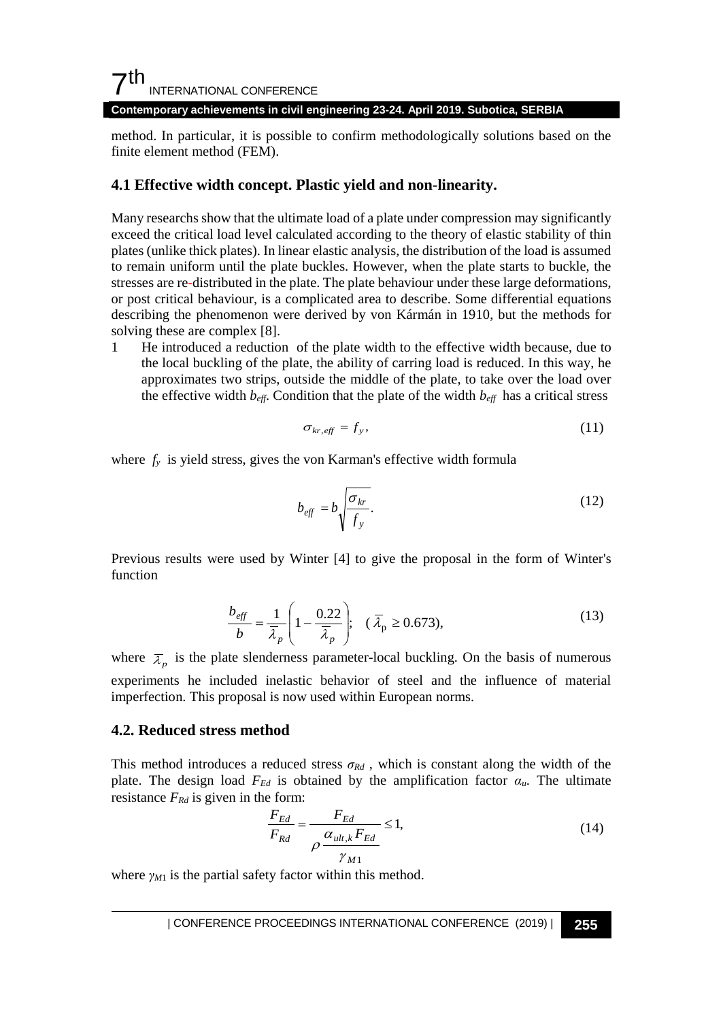# $7<sup>th</sup>$ INTERNATIONAL CONFERENCE

**Contemporary achievements in civil engineering 23-24. April 2019. Subotica, SERBIA**

method. In particular, it is possible to confirm methodologically solutions based on the finite element method (FEM).

## **4.1 Effective width concept. Plastic yield and non-linearity.**

Many researchs show that the ultimate load of a plate under compression may significantly exceed the critical load level calculated according to the theory of elastic stability of thin plates (unlike thick plates). In linear elastic analysis, the distribution of the load is assumed to remain uniform until the plate buckles. However, when the plate starts to buckle, the stresses are re-distributed in the plate. The plate behaviour under these large deformations, or post critical behaviour, is a complicated area to describe. Some differential equations describing the phenomenon were derived by von Kármán in 1910, but the methods for solving these are complex [8].

1 He introduced a reduction of the plate width to the effective width because, due to the local buckling of the plate, the ability of carring load is reduced. In this way, he approximates two strips, outside the middle of the plate, to take over the load over the effective width  $b_{\text{eff}}$ . Condition that the plate of the width  $b_{\text{eff}}$  has a critical stress

$$
\sigma_{kr, \text{eff}} = f_y,\tag{11}
$$

where  $f<sub>y</sub>$  is yield stress, gives the von Karman's effective width formula

$$
b_{\text{eff}} = b \sqrt{\frac{\sigma_{kr}}{f_y}}.\tag{12}
$$

Previous results were used by Winter [4] to give the proposal in the form of Winter's function

$$
\frac{b_{\text{eff}}}{b} = \frac{1}{\overline{\lambda}_p} \left( 1 - \frac{0.22}{\overline{\lambda}_p} \right); \quad (\overline{\lambda}_p \ge 0.673), \tag{13}
$$

where  $\bar{\lambda}_p$  is the plate slenderness parameter-local buckling. On the basis of numerous experiments he included inelastic behavior of steel and the influence of material imperfection. This proposal is now used within European norms.

### **4.2. Reduced stress method**

This method introduces a reduced stress  $\sigma_{Rd}$ , which is constant along the width of the plate. The design load  $F_{Ed}$  is obtained by the amplification factor  $\alpha_u$ . The ultimate resistance  $F_{Rd}$  is given in the form:

$$
\frac{F_{Ed}}{F_{Rd}} = \frac{F_{Ed}}{\rho \frac{\alpha_{ult,k} F_{Ed}}{\gamma_{M1}}} \le 1,
$$
\n(14)

where  $\gamma_{M1}$  is the partial safety factor within this method.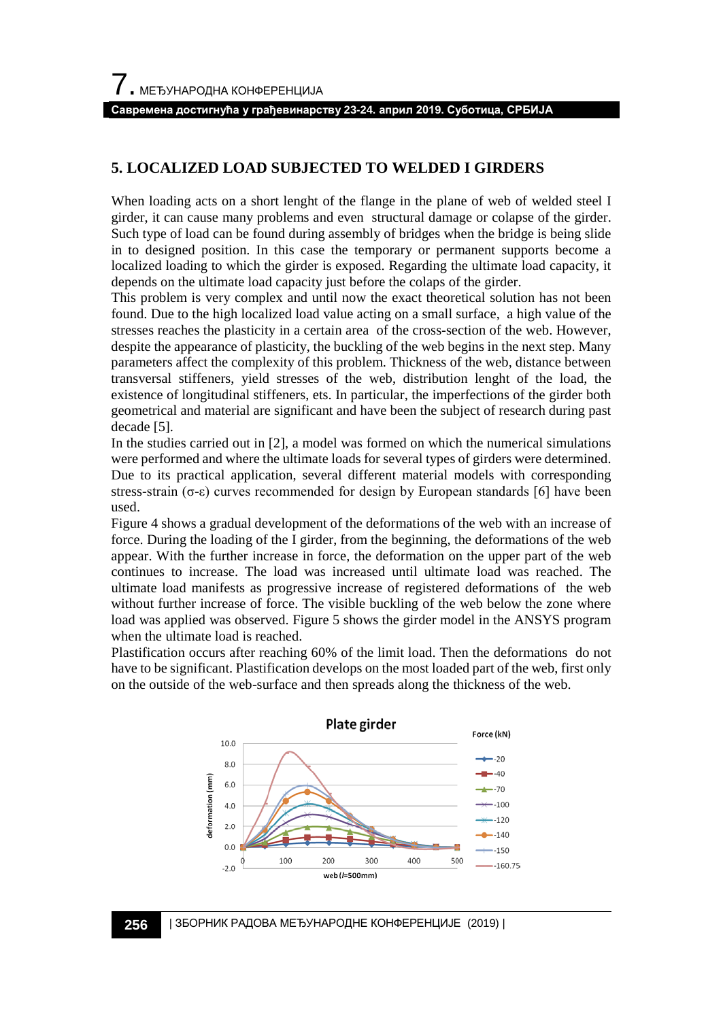#### **Савремена достигнућа у грађевинарству 23-24. април 2019. Суботица, СРБИЈА**

# **5. LOCALIZED LOAD SUBJECTED TO WELDED I GIRDERS**

When loading acts on a short lenght of the flange in the plane of web of welded steel I girder, it can cause many problems and even structural damage or colapse of the girder. Such type of load can be found during assembly of bridges when the bridge is being slide in to designed position. In this case the temporary or permanent supports become a localized loading to which the girder is exposed. Regarding the ultimate load capacity, it depends on the ultimate load capacity just before the colaps of the girder.

This problem is very complex and until now the exact theoretical solution has not been found. Due to the high localized load value acting on a small surface, a high value of the stresses reaches the plasticity in a certain area of the cross-section of the web. However, despite the appearance of plasticity, the buckling of the web begins in the next step. Many parameters affect the complexity of this problem. Thickness of the web, distance between transversal stiffeners, yield stresses of the web, distribution lenght of the load, the existence of longitudinal stiffeners, ets. In particular, the imperfections of the girder both geometrical and material are significant and have been the subject of research during past decade [5].

In the studies carried out in [2], a model was formed on which the numerical simulations were performed and where the ultimate loads for several types of girders were determined. Due to its practical application, several different material models with corresponding stress-strain (σ-ε) curves recommended for design by European standards [6] have been used.

Figure 4 shows a gradual development of the deformations of the web with an increase of force. During the loading of the I girder, from the beginning, the deformations of the web appear. With the further increase in force, the deformation on the upper part of the web continues to increase. The load was increased until ultimate load was reached. The ultimate load manifests as progressive increase of registered deformations of the web without further increase of force. The visible buckling of the web below the zone where load was applied was observed. Figure 5 shows the girder model in the ANSYS program when the ultimate load is reached.

Plastification occurs after reaching 60% of the limit load. Then the deformations do not have to be significant. Plastification develops on the most loaded part of the web, first only on the outside of the web-surface and then spreads along the thickness of the web.



### **256** | ЗБОРНИК РАДОВА МЕЂУНАРОДНЕ КОНФЕРЕНЦИЈЕ (2019) |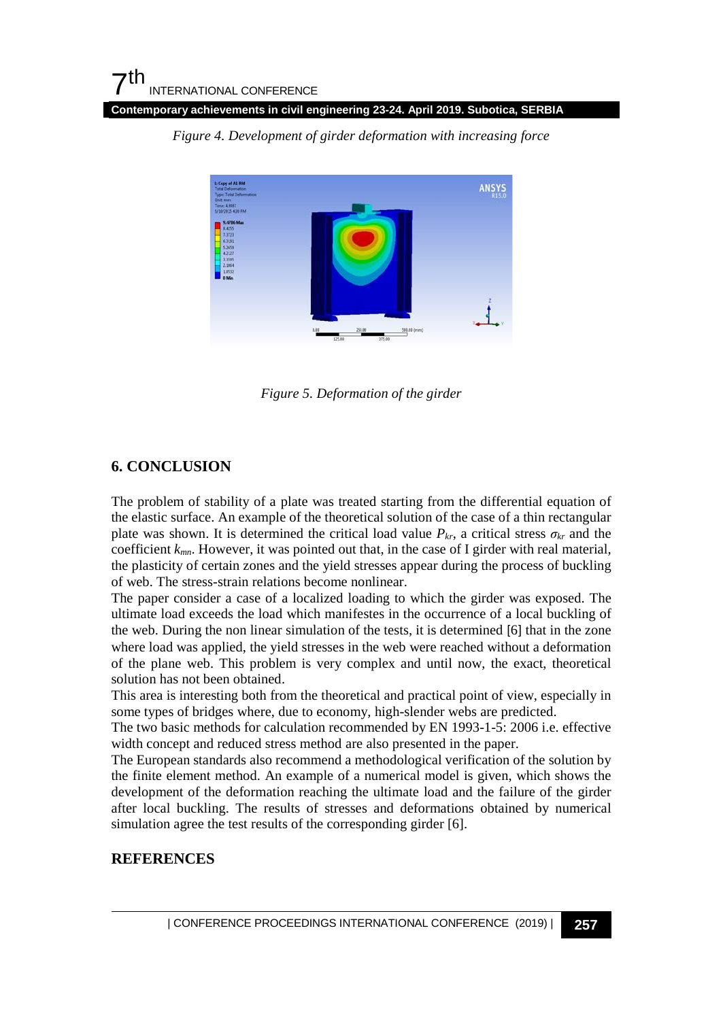**Contemporary achievements in civil engineering 23-24. April 2019. Subotica, SERBIA**



*Figure 4. Development of girder deformation with increasing force*

*Figure 5. Deformation of the girder*

# **6. CONCLUSION**

The problem of stability of a plate was treated starting from the differential equation of the elastic surface. An example of the theoretical solution of the case of a thin rectangular plate was shown. It is determined the critical load value  $P_{kr}$ , a critical stress  $\sigma_{kr}$  and the coefficient *kmn*. However, it was pointed out that, in the case of I girder with real material, the plasticity of certain zones and the yield stresses appear during the process of buckling of web. The stress-strain relations become nonlinear.

The paper consider a case of a localized loading to which the girder was exposed. The ultimate load exceeds the load which manifestes in the occurrence of a local buckling of the web. During the non linear simulation of the tests, it is determined [6] that in the zone where load was applied, the yield stresses in the web were reached without a deformation of the plane web. This problem is very complex and until now, the exact, theoretical solution has not been obtained.

This area is interesting both from the theoretical and practical point of view, especially in some types of bridges where, due to economy, high-slender webs are predicted.

The two basic methods for calculation recommended by EN 1993-1-5: 2006 i.e. effective width concept and reduced stress method are also presented in the paper.

The European standards also recommend a methodological verification of the solution by the finite element method. An example of a numerical model is given, which shows the development of the deformation reaching the ultimate load and the failure of the girder after local buckling. The results of stresses and deformations obtained by numerical simulation agree the test results of the corresponding girder [6].

# **REFERENCES**